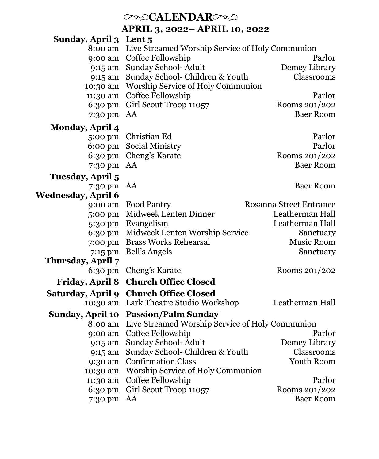# *CALENDARC*

**APRIL 3, 2022– APRIL 10, 2022**

| <b>Sunday, April 3</b>  | Lent 5                                          |                                   |
|-------------------------|-------------------------------------------------|-----------------------------------|
| 8:00 am                 | Live Streamed Worship Service of Holy Communion |                                   |
| 9:00 am                 | Coffee Fellowship                               | Parlor                            |
| 9:15 am                 | Sunday School- Adult                            | Demey Library<br>Classrooms       |
| 9:15 am                 | Sunday School- Children & Youth                 |                                   |
| 10:30 am                | Worship Service of Holy Communion               | Parlor                            |
| 11:30 am                | Coffee Fellowship                               |                                   |
| 6:30 pm                 | Girl Scout Troop 11057                          | Rooms 201/202<br><b>Baer Room</b> |
| 7:30 pm                 | AA                                              |                                   |
| <b>Monday, April 4</b>  |                                                 |                                   |
| 5:00 pm                 | Christian Ed                                    | Parlor                            |
| $6:00 \text{ pm}$       | Social Ministry                                 | Parlor                            |
| 6:30 pm                 | Cheng's Karate                                  | Rooms 201/202                     |
| 7:30 pm                 | AA                                              | <b>Baer Room</b>                  |
| Tuesday, April 5        |                                                 |                                   |
| 7:30 pm                 | AA                                              | <b>Baer Room</b>                  |
| Wednesday, April 6      |                                                 |                                   |
| 9:00 am                 | Food Pantry                                     | <b>Rosanna Street Entrance</b>    |
| 5:00 pm                 | Midweek Lenten Dinner                           | Leatherman Hall                   |
| 5:30 pm                 | Evangelism                                      | Leatherman Hall                   |
| 6:30 pm                 | Midweek Lenten Worship Service                  | Sanctuary                         |
| 7:00 pm                 | <b>Brass Works Rehearsal</b>                    | Music Room                        |
| 7:15 pm                 | <b>Bell's Angels</b>                            | Sanctuary                         |
| Thursday, April 7       |                                                 |                                   |
| $6:30 \text{ pm}$       | Cheng's Karate                                  | Rooms 201/202                     |
| <b>Friday, April 8</b>  | <b>Church Office Closed</b>                     |                                   |
| Saturday, April 9       | <b>Church Office Closed</b>                     |                                   |
| 10:30 am                | Lark Theatre Studio Workshop                    | Leatherman Hall                   |
| <b>Sunday, April 10</b> | <b>Passion/Palm Sunday</b>                      |                                   |
| 8:00 am                 | Live Streamed Worship Service of Holy Communion |                                   |
| 9:00 am                 | Coffee Fellowship                               | Parlor                            |
| 9:15 am                 | Sunday School-Adult                             | Demey Library                     |
| 9:15 am                 | Sunday School- Children & Youth                 | Classrooms                        |
| 9:30 am                 | <b>Confirmation Class</b>                       | Youth Room                        |
| 10:30 am                | Worship Service of Holy Communion               |                                   |
| 11:30 am                | Coffee Fellowship                               | Parlor                            |
| 6:30 pm                 | Girl Scout Troop 11057                          | Rooms 201/202                     |
| 7:30 pm                 | AA                                              | <b>Baer Room</b>                  |
|                         |                                                 |                                   |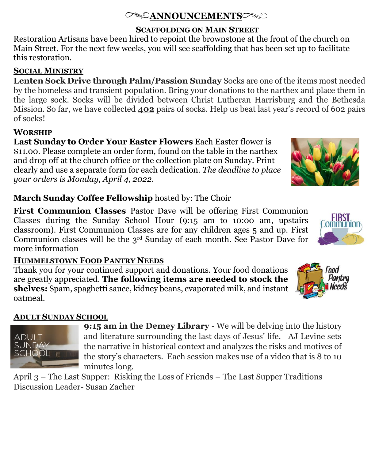## **ANNOUNCEMENTS**

#### **SCAFFOLDING ON MAIN STREET**

Restoration Artisans have been hired to repoint the brownstone at the front of the church on Main Street. For the next few weeks, you will see scaffolding that has been set up to facilitate this restoration.

## **SOCIAL MINISTRY**

**Lenten Sock Drive through Palm/Passion Sunday** Socks are one of the items most needed by the homeless and transient population. Bring your donations to the narthex and place them in the large sock. Socks will be divided between Christ Lutheran Harrisburg and the Bethesda Mission. So far, we have collected **402** pairs of socks. Help us beat last year's record of 602 pairs of socks!

# **WORSHIP**

**Last Sunday to Order Your Easter Flowers** Each Easter flower is \$11.00. Please complete an order form, found on the table in the narthex and drop off at the church office or the collection plate on Sunday. Print clearly and use a separate form for each dedication. *The deadline to place your orders is Monday, April 4, 2022.*

## **March Sunday Coffee Fellowship** hosted by: The Choir

**First Communion Classes** Pastor Dave will be offering First Communion Classes during the Sunday School Hour (9:15 am to 10:00 am, upstairs classroom). First Communion Classes are for any children ages 5 and up. First Communion classes will be the 3rd Sunday of each month. See Pastor Dave for more information

# **HUMMELSTOWN FOOD PANTRY NEEDS**

Thank you for your continued support and donations. Your food donations are greatly appreciated. **The following items are needed to stock the shelves:** Spam, spaghetti sauce, kidney beans, evaporated milk, and instant oatmeal.

# **ADULT SUNDAY SCHOOL**

**ADULT SUNDAY** SCHOOL

**9:15 am in the Demey Library** - We will be delving into the history and literature surrounding the last days of Jesus' life. AJ Levine sets the narrative in historical context and analyzes the risks and motives of the story's characters. Each session makes use of a video that is 8 to 10 minutes long.

April 3 – The Last Supper: Risking the Loss of Friends – The Last Supper Traditions Discussion Leader- Susan Zacher





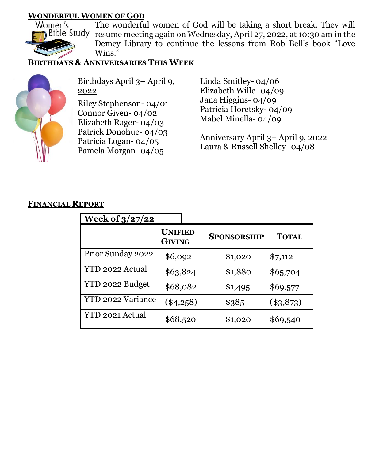# **WONDERFUL WOMEN OF GOD**<br>Women's The wonderfu



The wonderful women of God will be taking a short break. They will resume meeting again on Wednesday, April 27, 2022, at 10:30 am in the Demey Library to continue the lessons from Rob Bell's book "Love Wins."

#### **BIRTHDAYS & ANNIVERSARIES THIS WEEK**



Birthdays April 3– April 9, 2022

Riley Stephenson- 04/01 Connor Given- 04/02 Elizabeth Rager- 04/03 Patrick Donohue- 04/03 Patricia Logan- 04/05 Pamela Morgan- 04/05

Linda Smitley- 04/06 Elizabeth Wille- 04/09 Jana Higgins- 04/09 Patricia Horetsky- 04/09 Mabel Minella- 04/09

Anniversary April 3– April 9, 2022 Laura & Russell Shelley- 04/08

#### **FINANCIAL REPORT**

| <b>Week of 3/27/22</b> |                                 |                    |              |  |
|------------------------|---------------------------------|--------------------|--------------|--|
|                        | <b>UNIFIED</b><br><b>GIVING</b> | <b>SPONSORSHIP</b> | <b>TOTAL</b> |  |
| Prior Sunday 2022      | \$6,092                         | \$1,020            | \$7,112      |  |
| YTD 2022 Actual        | \$63,824                        | \$1,880            | \$65,704     |  |
| YTD 2022 Budget        | \$68,082                        | \$1,495            | \$69,577     |  |
| YTD 2022 Variance      | $(\$4,258)$                     | \$385              | $(*3,873)$   |  |
| YTD 2021 Actual        | \$68,520                        | \$1,020            | \$69,540     |  |